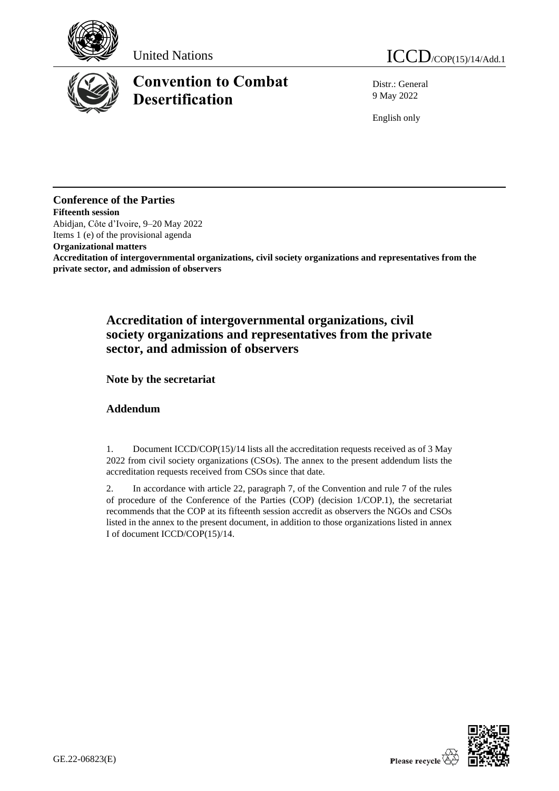

# **Convention to Combat Desertification**

United Nations  $ICCD_{/COP(15)/14/Add.1}$ 

Distr.: General 9 May 2022

English only

## **Conference of the Parties**

**Fifteenth session** Abidjan, Côte d'Ivoire, 9–20 May 2022 Items 1 (e) of the provisional agenda

**Organizational matters**

**Accreditation of intergovernmental organizations, civil society organizations and representatives from the private sector, and admission of observers** 

# **Accreditation of intergovernmental organizations, civil society organizations and representatives from the private sector, and admission of observers**

**Note by the secretariat**

## **Addendum**

1. Document ICCD/COP(15)/14 lists all the accreditation requests received as of 3 May 2022 from civil society organizations (CSOs). The annex to the present addendum lists the accreditation requests received from CSOs since that date.

2. In accordance with article 22, paragraph 7, of the Convention and rule 7 of the rules of procedure of the Conference of the Parties (COP) (decision 1/COP.1), the secretariat recommends that the COP at its fifteenth session accredit as observers the NGOs and CSOs listed in the annex to the present document, in addition to those organizations listed in annex I of document ICCD/COP(15)/14.